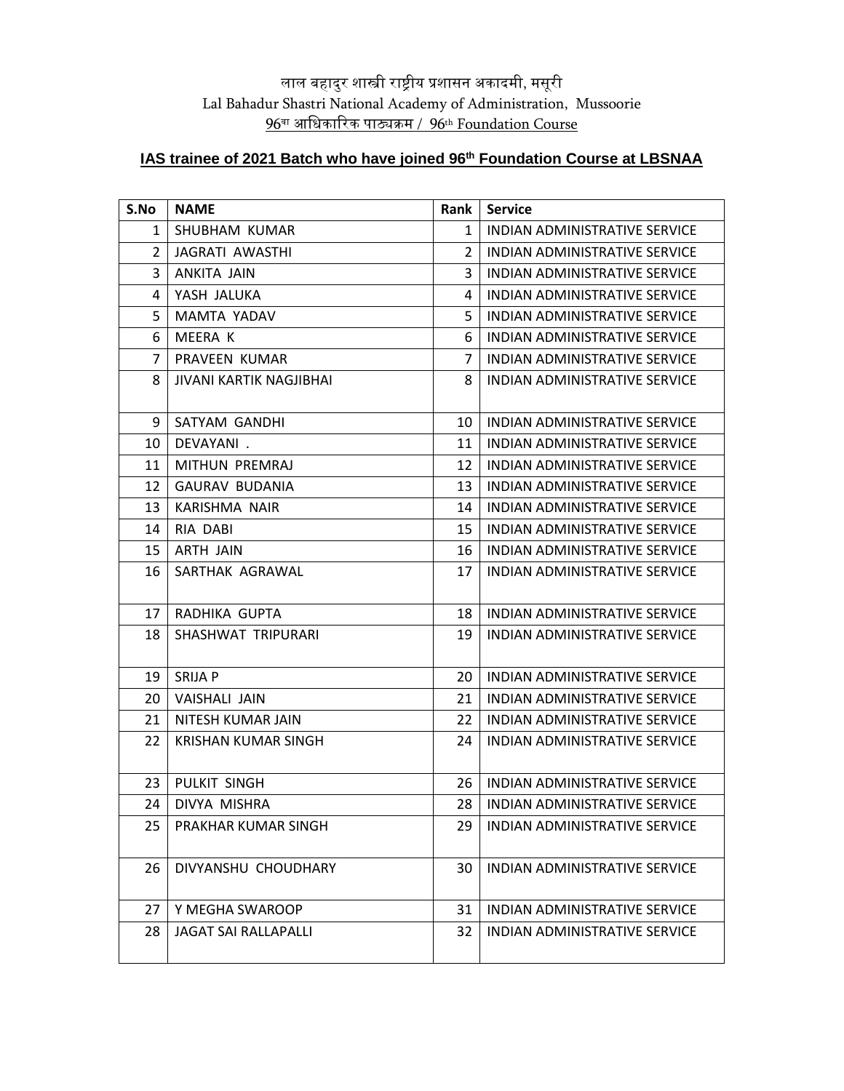## लाल बहादुर शास्त्री राष्ट्रीय प्रशासन अकादमी, मसूरी Lal Bahadur Shastri National Academy of Administration, Mussoorie वा आधिकाररक पाठ्यक्रम / 96th Foundation Course

## **IAS trainee of 2021 Batch who have joined 96th Foundation Course at LBSNAA**

| S.No           | <b>NAME</b>                 | <b>Rank</b>    | <b>Service</b>                       |
|----------------|-----------------------------|----------------|--------------------------------------|
| 1              | SHUBHAM KUMAR               | 1              | INDIAN ADMINISTRATIVE SERVICE        |
| $\overline{2}$ | JAGRATI AWASTHI             | $\overline{2}$ | INDIAN ADMINISTRATIVE SERVICE        |
| 3              | ANKITA JAIN                 | 3              | INDIAN ADMINISTRATIVE SERVICE        |
| 4              | YASH JALUKA                 | 4              | INDIAN ADMINISTRATIVE SERVICE        |
| 5              | MAMTA YADAV                 | 5              | INDIAN ADMINISTRATIVE SERVICE        |
| 6              | MEERA K                     | 6              | INDIAN ADMINISTRATIVE SERVICE        |
| $\overline{7}$ | PRAVEEN KUMAR               | $\overline{7}$ | INDIAN ADMINISTRATIVE SERVICE        |
| 8              | JIVANI KARTIK NAGJIBHAI     | 8              | INDIAN ADMINISTRATIVE SERVICE        |
| 9              | SATYAM GANDHI               | 10             | INDIAN ADMINISTRATIVE SERVICE        |
| 10             | DEVAYANI.                   | 11             | INDIAN ADMINISTRATIVE SERVICE        |
| 11             | MITHUN PREMRAJ              | 12             | INDIAN ADMINISTRATIVE SERVICE        |
| 12             | <b>GAURAV BUDANIA</b>       | 13             | INDIAN ADMINISTRATIVE SERVICE        |
| 13             | KARISHMA NAIR               | 14             | <b>INDIAN ADMINISTRATIVE SERVICE</b> |
| 14             | RIA DABI                    | 15             | <b>INDIAN ADMINISTRATIVE SERVICE</b> |
| 15             | <b>ARTH JAIN</b>            | 16             | INDIAN ADMINISTRATIVE SERVICE        |
| 16             | SARTHAK AGRAWAL             | 17             | INDIAN ADMINISTRATIVE SERVICE        |
| 17             | RADHIKA GUPTA               | 18             | <b>INDIAN ADMINISTRATIVE SERVICE</b> |
| 18             | SHASHWAT TRIPURARI          | 19             | INDIAN ADMINISTRATIVE SERVICE        |
| 19             | SRIJA P                     | 20             | INDIAN ADMINISTRATIVE SERVICE        |
| 20             | VAISHALI JAIN               | 21             | INDIAN ADMINISTRATIVE SERVICE        |
| 21             | NITESH KUMAR JAIN           | 22             | INDIAN ADMINISTRATIVE SERVICE        |
| 22             | <b>KRISHAN KUMAR SINGH</b>  | 24             | INDIAN ADMINISTRATIVE SERVICE        |
| 23             | PULKIT SINGH                | 26 I           | INDIAN ADMINISTRATIVE SERVICE        |
| 24             | DIVYA MISHRA                | 28             | INDIAN ADMINISTRATIVE SERVICE        |
| 25             | PRAKHAR KUMAR SINGH         | 29             | INDIAN ADMINISTRATIVE SERVICE        |
| 26             | DIVYANSHU CHOUDHARY         | 30             | <b>INDIAN ADMINISTRATIVE SERVICE</b> |
| 27             | Y MEGHA SWAROOP             | 31             | <b>INDIAN ADMINISTRATIVE SERVICE</b> |
| 28             | <b>JAGAT SAI RALLAPALLI</b> | 32             | INDIAN ADMINISTRATIVE SERVICE        |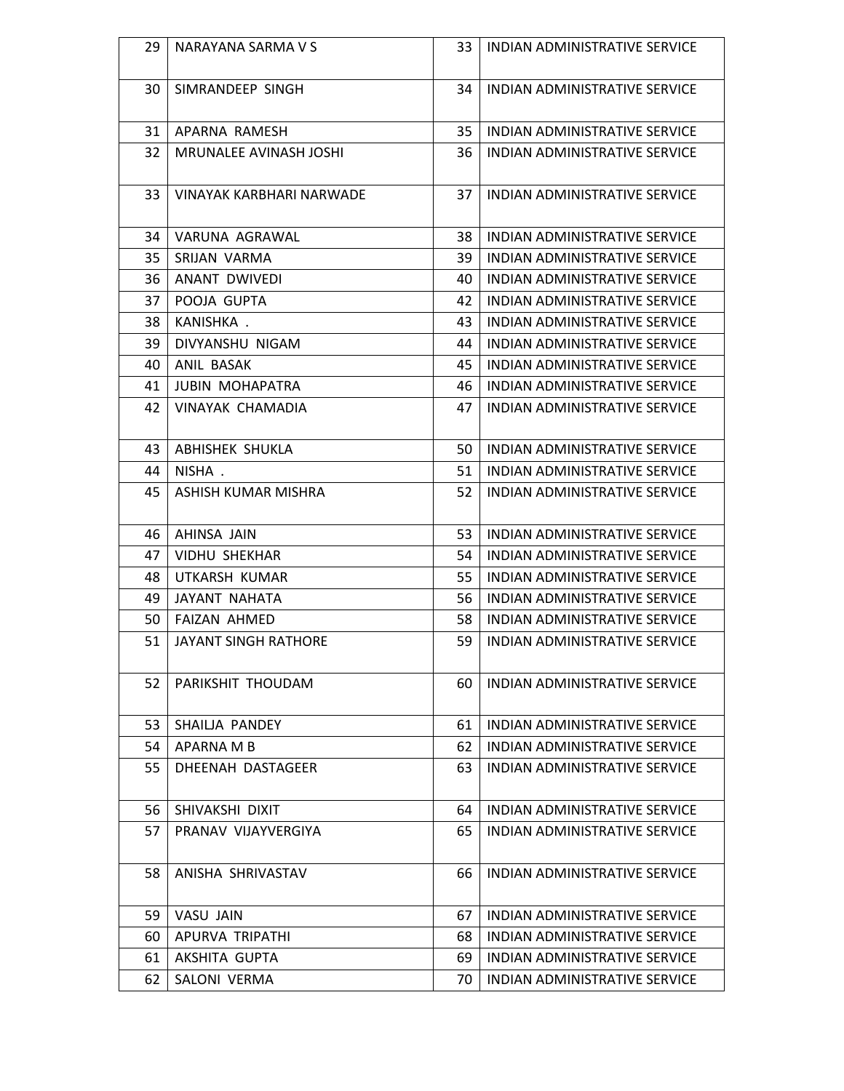| 29 | NARAYANA SARMA V S            | 33 | INDIAN ADMINISTRATIVE SERVICE        |
|----|-------------------------------|----|--------------------------------------|
| 30 | SIMRANDEEP SINGH              | 34 | INDIAN ADMINISTRATIVE SERVICE        |
| 31 | APARNA RAMESH                 | 35 | INDIAN ADMINISTRATIVE SERVICE        |
| 32 | <b>MRUNALEE AVINASH JOSHI</b> | 36 | INDIAN ADMINISTRATIVE SERVICE        |
| 33 | VINAYAK KARBHARI NARWADE      | 37 | INDIAN ADMINISTRATIVE SERVICE        |
| 34 | VARUNA AGRAWAL                | 38 | INDIAN ADMINISTRATIVE SERVICE        |
| 35 | SRIJAN VARMA                  | 39 | INDIAN ADMINISTRATIVE SERVICE        |
| 36 | ANANT DWIVEDI                 | 40 | INDIAN ADMINISTRATIVE SERVICE        |
| 37 | POOJA GUPTA                   | 42 | INDIAN ADMINISTRATIVE SERVICE        |
| 38 | KANISHKA.                     | 43 | <b>INDIAN ADMINISTRATIVE SERVICE</b> |
| 39 | DIVYANSHU NIGAM               | 44 | INDIAN ADMINISTRATIVE SERVICE        |
| 40 | ANIL BASAK                    | 45 | INDIAN ADMINISTRATIVE SERVICE        |
| 41 | <b>JUBIN MOHAPATRA</b>        | 46 | INDIAN ADMINISTRATIVE SERVICE        |
| 42 | <b>VINAYAK CHAMADIA</b>       | 47 | INDIAN ADMINISTRATIVE SERVICE        |
| 43 | ABHISHEK SHUKLA               | 50 | INDIAN ADMINISTRATIVE SERVICE        |
| 44 | NISHA.                        | 51 | INDIAN ADMINISTRATIVE SERVICE        |
| 45 | ASHISH KUMAR MISHRA           | 52 | INDIAN ADMINISTRATIVE SERVICE        |
| 46 | AHINSA JAIN                   | 53 | INDIAN ADMINISTRATIVE SERVICE        |
| 47 | <b>VIDHU SHEKHAR</b>          | 54 | INDIAN ADMINISTRATIVE SERVICE        |
| 48 | UTKARSH KUMAR                 | 55 | INDIAN ADMINISTRATIVE SERVICE        |
| 49 | JAYANT NAHATA                 | 56 | INDIAN ADMINISTRATIVE SERVICE        |
| 50 | <b>FAIZAN AHMED</b>           | 58 | <b>INDIAN ADMINISTRATIVE SERVICE</b> |
| 51 | JAYANT SINGH RATHORE          | 59 | INDIAN ADMINISTRATIVE SERVICE        |
| 52 | PARIKSHIT THOUDAM             | 60 | INDIAN ADMINISTRATIVE SERVICE        |
| 53 | SHAILJA PANDEY                | 61 | INDIAN ADMINISTRATIVE SERVICE        |
| 54 | APARNA M B                    | 62 | INDIAN ADMINISTRATIVE SERVICE        |
| 55 | DHEENAH DASTAGEER             | 63 | INDIAN ADMINISTRATIVE SERVICE        |
| 56 | SHIVAKSHI DIXIT               | 64 | <b>INDIAN ADMINISTRATIVE SERVICE</b> |
| 57 | PRANAV VIJAYVERGIYA           | 65 | INDIAN ADMINISTRATIVE SERVICE        |
| 58 | ANISHA SHRIVASTAV             | 66 | INDIAN ADMINISTRATIVE SERVICE        |
| 59 | VASU JAIN                     | 67 | INDIAN ADMINISTRATIVE SERVICE        |
| 60 | APURVA TRIPATHI               | 68 | INDIAN ADMINISTRATIVE SERVICE        |
| 61 | AKSHITA GUPTA                 | 69 | INDIAN ADMINISTRATIVE SERVICE        |
| 62 | SALONI VERMA                  | 70 | INDIAN ADMINISTRATIVE SERVICE        |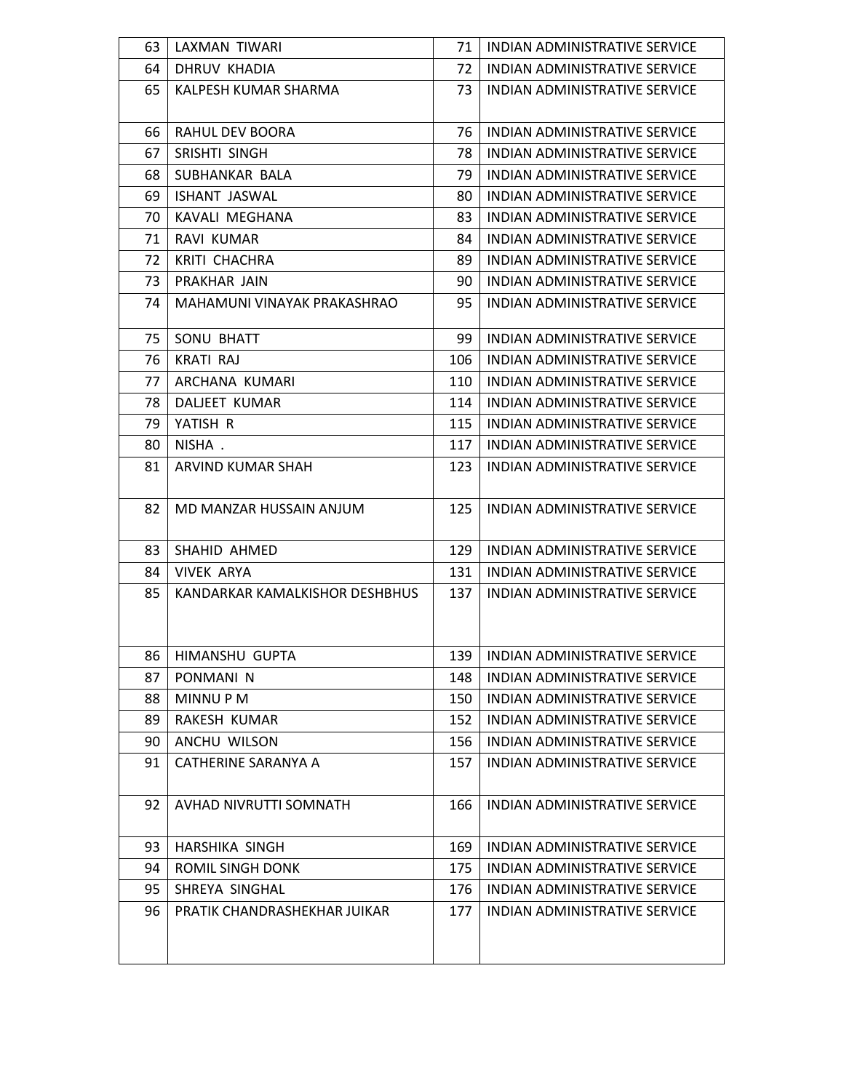| 63 | LAXMAN TIWARI                  | 71  | INDIAN ADMINISTRATIVE SERVICE        |
|----|--------------------------------|-----|--------------------------------------|
| 64 | DHRUV KHADIA                   | 72  | INDIAN ADMINISTRATIVE SERVICE        |
| 65 | KALPESH KUMAR SHARMA           | 73  | INDIAN ADMINISTRATIVE SERVICE        |
| 66 | RAHUL DEV BOORA                | 76  | INDIAN ADMINISTRATIVE SERVICE        |
| 67 | SRISHTI SINGH                  | 78  | INDIAN ADMINISTRATIVE SERVICE        |
| 68 | SUBHANKAR BALA                 | 79  | INDIAN ADMINISTRATIVE SERVICE        |
| 69 | <b>ISHANT JASWAL</b>           | 80  | INDIAN ADMINISTRATIVE SERVICE        |
| 70 | KAVALI MEGHANA                 | 83  | INDIAN ADMINISTRATIVE SERVICE        |
| 71 | <b>RAVI KUMAR</b>              | 84  | INDIAN ADMINISTRATIVE SERVICE        |
| 72 | KRITI CHACHRA                  | 89  | INDIAN ADMINISTRATIVE SERVICE        |
| 73 | PRAKHAR JAIN                   | 90  | INDIAN ADMINISTRATIVE SERVICE        |
| 74 | MAHAMUNI VINAYAK PRAKASHRAO    | 95  | INDIAN ADMINISTRATIVE SERVICE        |
| 75 | SONU BHATT                     | 99  | INDIAN ADMINISTRATIVE SERVICE        |
| 76 | <b>KRATI RAJ</b>               | 106 | <b>INDIAN ADMINISTRATIVE SERVICE</b> |
| 77 | ARCHANA KUMARI                 | 110 | INDIAN ADMINISTRATIVE SERVICE        |
| 78 | <b>DALIEET KUMAR</b>           | 114 | INDIAN ADMINISTRATIVE SERVICE        |
| 79 | YATISH R                       | 115 | INDIAN ADMINISTRATIVE SERVICE        |
| 80 | NISHA.                         | 117 | INDIAN ADMINISTRATIVE SERVICE        |
| 81 | ARVIND KUMAR SHAH              | 123 | INDIAN ADMINISTRATIVE SERVICE        |
| 82 | MD MANZAR HUSSAIN ANJUM        | 125 | INDIAN ADMINISTRATIVE SERVICE        |
| 83 | SHAHID AHMED                   | 129 | INDIAN ADMINISTRATIVE SERVICE        |
| 84 | <b>VIVEK ARYA</b>              | 131 | <b>INDIAN ADMINISTRATIVE SERVICE</b> |
| 85 | KANDARKAR KAMALKISHOR DESHBHUS | 137 | <b>INDIAN ADMINISTRATIVE SERVICE</b> |
| 86 | HIMANSHU GUPTA                 |     | 139   INDIAN ADMINISTRATIVE SERVICE  |
| 87 | PONMANI <sub>N</sub>           | 148 | INDIAN ADMINISTRATIVE SERVICE        |
| 88 | MINNU P M                      | 150 | INDIAN ADMINISTRATIVE SERVICE        |
| 89 | RAKESH KUMAR                   | 152 | INDIAN ADMINISTRATIVE SERVICE        |
| 90 | ANCHU WILSON                   | 156 | INDIAN ADMINISTRATIVE SERVICE        |
| 91 | CATHERINE SARANYA A            | 157 | INDIAN ADMINISTRATIVE SERVICE        |
| 92 | AVHAD NIVRUTTI SOMNATH         | 166 | INDIAN ADMINISTRATIVE SERVICE        |
| 93 | HARSHIKA SINGH                 | 169 | INDIAN ADMINISTRATIVE SERVICE        |
| 94 | ROMIL SINGH DONK               | 175 | INDIAN ADMINISTRATIVE SERVICE        |
| 95 | SHREYA SINGHAL                 | 176 | INDIAN ADMINISTRATIVE SERVICE        |
| 96 | PRATIK CHANDRASHEKHAR JUIKAR   | 177 | INDIAN ADMINISTRATIVE SERVICE        |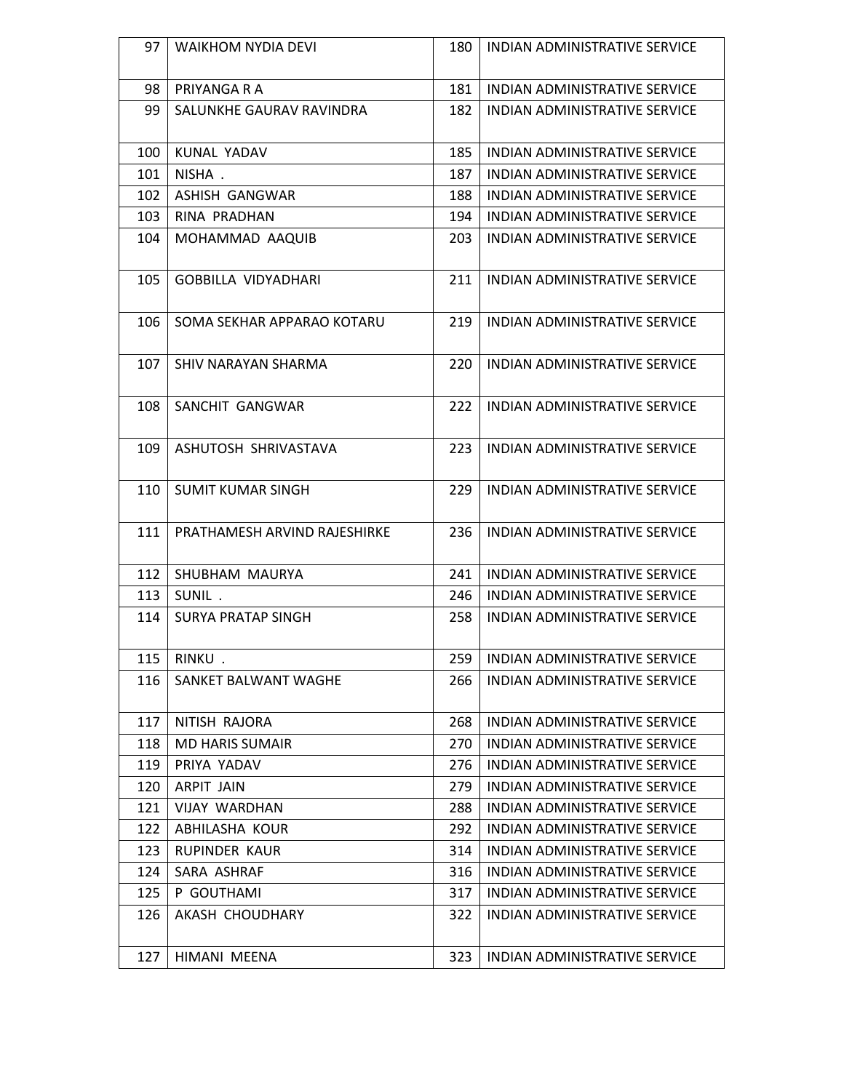| 97  | <b>WAIKHOM NYDIA DEVI</b>    | 180 | INDIAN ADMINISTRATIVE SERVICE        |
|-----|------------------------------|-----|--------------------------------------|
| 98  | PRIYANGA R A                 | 181 | INDIAN ADMINISTRATIVE SERVICE        |
| 99  | SALUNKHE GAURAV RAVINDRA     | 182 | INDIAN ADMINISTRATIVE SERVICE        |
| 100 | KUNAL YADAV                  | 185 | INDIAN ADMINISTRATIVE SERVICE        |
| 101 | NISHA.                       | 187 | INDIAN ADMINISTRATIVE SERVICE        |
| 102 | ASHISH GANGWAR               | 188 | INDIAN ADMINISTRATIVE SERVICE        |
| 103 | RINA PRADHAN                 | 194 | INDIAN ADMINISTRATIVE SERVICE        |
| 104 | MOHAMMAD AAQUIB              | 203 | INDIAN ADMINISTRATIVE SERVICE        |
| 105 | <b>GOBBILLA VIDYADHARI</b>   | 211 | INDIAN ADMINISTRATIVE SERVICE        |
| 106 | SOMA SEKHAR APPARAO KOTARU   | 219 | <b>INDIAN ADMINISTRATIVE SERVICE</b> |
| 107 | SHIV NARAYAN SHARMA          | 220 | INDIAN ADMINISTRATIVE SERVICE        |
| 108 | SANCHIT GANGWAR              | 222 | <b>INDIAN ADMINISTRATIVE SERVICE</b> |
| 109 | ASHUTOSH SHRIVASTAVA         | 223 | INDIAN ADMINISTRATIVE SERVICE        |
| 110 | <b>SUMIT KUMAR SINGH</b>     | 229 | INDIAN ADMINISTRATIVE SERVICE        |
| 111 | PRATHAMESH ARVIND RAJESHIRKE | 236 | INDIAN ADMINISTRATIVE SERVICE        |
| 112 | SHUBHAM MAURYA               | 241 | <b>INDIAN ADMINISTRATIVE SERVICE</b> |
| 113 | SUNIL.                       | 246 | <b>INDIAN ADMINISTRATIVE SERVICE</b> |
| 114 | <b>SURYA PRATAP SINGH</b>    | 258 | <b>INDIAN ADMINISTRATIVE SERVICE</b> |
| 115 | RINKU.                       | 259 | INDIAN ADMINISTRATIVE SERVICE        |
| 116 | SANKET BALWANT WAGHE         | 266 | INDIAN ADMINISTRATIVE SERVICE        |
| 117 | NITISH RAJORA                | 268 | INDIAN ADMINISTRATIVE SERVICE        |
| 118 | <b>MD HARIS SUMAIR</b>       | 270 | INDIAN ADMINISTRATIVE SERVICE        |
| 119 | PRIYA YADAV                  | 276 | INDIAN ADMINISTRATIVE SERVICE        |
| 120 | ARPIT JAIN                   | 279 | INDIAN ADMINISTRATIVE SERVICE        |
| 121 | <b>VIJAY WARDHAN</b>         | 288 | INDIAN ADMINISTRATIVE SERVICE        |
| 122 | ABHILASHA KOUR               | 292 | INDIAN ADMINISTRATIVE SERVICE        |
| 123 | RUPINDER KAUR                | 314 | INDIAN ADMINISTRATIVE SERVICE        |
| 124 | SARA ASHRAF                  | 316 | INDIAN ADMINISTRATIVE SERVICE        |
| 125 | P GOUTHAMI                   | 317 | INDIAN ADMINISTRATIVE SERVICE        |
| 126 | AKASH CHOUDHARY              | 322 | INDIAN ADMINISTRATIVE SERVICE        |
| 127 | HIMANI MEENA                 | 323 | INDIAN ADMINISTRATIVE SERVICE        |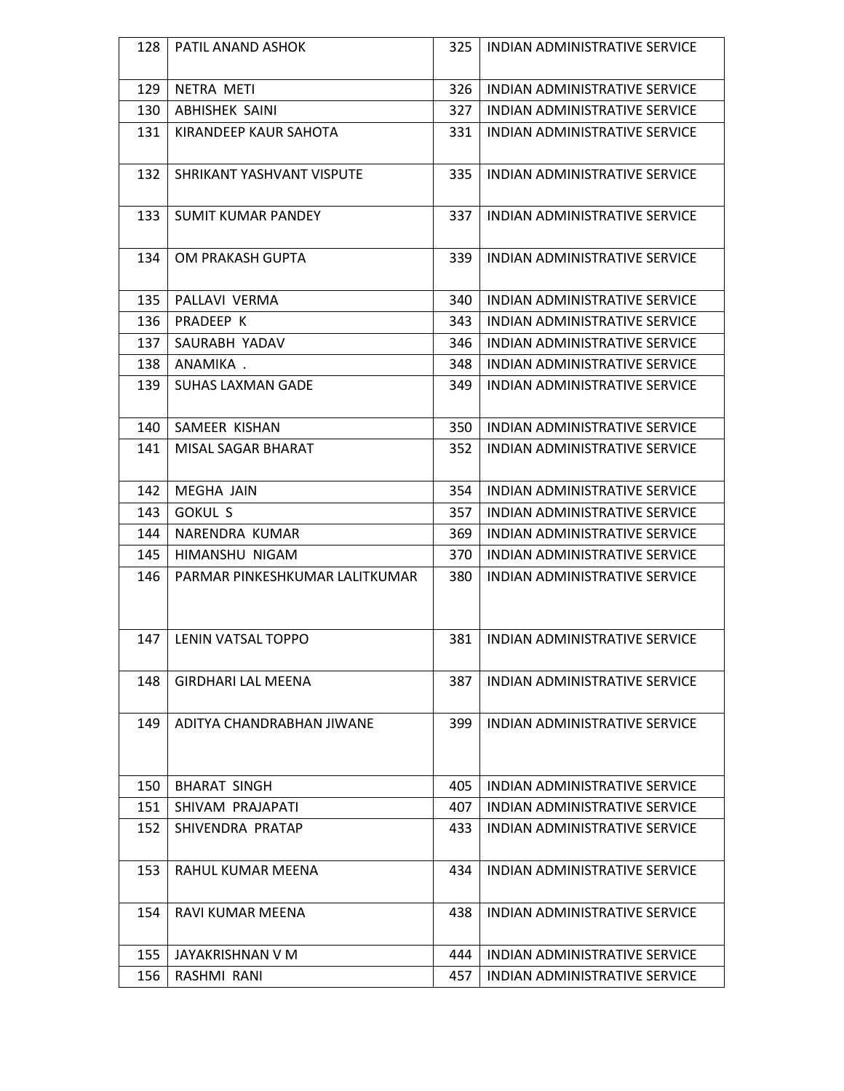| 128 | PATIL ANAND ASHOK              | 325  | INDIAN ADMINISTRATIVE SERVICE        |
|-----|--------------------------------|------|--------------------------------------|
|     |                                |      |                                      |
| 129 | NETRA METI                     | 326  | INDIAN ADMINISTRATIVE SERVICE        |
| 130 | <b>ABHISHEK SAINI</b>          | 327  | INDIAN ADMINISTRATIVE SERVICE        |
| 131 | KIRANDEEP KAUR SAHOTA          | 331  | INDIAN ADMINISTRATIVE SERVICE        |
| 132 | SHRIKANT YASHVANT VISPUTE      | 335  | <b>INDIAN ADMINISTRATIVE SERVICE</b> |
| 133 | <b>SUMIT KUMAR PANDEY</b>      | 337  | <b>INDIAN ADMINISTRATIVE SERVICE</b> |
| 134 | OM PRAKASH GUPTA               | 339  | <b>INDIAN ADMINISTRATIVE SERVICE</b> |
| 135 | PALLAVI VERMA                  | 340  | INDIAN ADMINISTRATIVE SERVICE        |
| 136 | PRADEEP K                      | 343  | INDIAN ADMINISTRATIVE SERVICE        |
| 137 | SAURABH YADAV                  | 346  | INDIAN ADMINISTRATIVE SERVICE        |
| 138 | ANAMIKA.                       | 348  | INDIAN ADMINISTRATIVE SERVICE        |
| 139 | <b>SUHAS LAXMAN GADE</b>       | 349. | INDIAN ADMINISTRATIVE SERVICE        |
| 140 | SAMEER KISHAN                  | 350  | INDIAN ADMINISTRATIVE SERVICE        |
| 141 | MISAL SAGAR BHARAT             | 352  | INDIAN ADMINISTRATIVE SERVICE        |
| 142 | MEGHA JAIN                     | 354  | INDIAN ADMINISTRATIVE SERVICE        |
| 143 | <b>GOKUL S</b>                 | 357  | INDIAN ADMINISTRATIVE SERVICE        |
| 144 | NARENDRA KUMAR                 | 369  | INDIAN ADMINISTRATIVE SERVICE        |
| 145 | HIMANSHU NIGAM                 | 370  | INDIAN ADMINISTRATIVE SERVICE        |
| 146 | PARMAR PINKESHKUMAR LALITKUMAR | 380  | INDIAN ADMINISTRATIVE SERVICE        |
| 147 | LENIN VATSAL TOPPO             | 381  | INDIAN ADMINISTRATIVE SERVICE        |
| 148 | <b>GIRDHARI LAL MEENA</b>      | 387  | INDIAN ADMINISTRATIVE SERVICE        |
| 149 | ADITYA CHANDRABHAN JIWANE      | 399  | INDIAN ADMINISTRATIVE SERVICE        |
| 150 | <b>BHARAT SINGH</b>            | 405  | INDIAN ADMINISTRATIVE SERVICE        |
| 151 | SHIVAM PRAJAPATI               | 407  | <b>INDIAN ADMINISTRATIVE SERVICE</b> |
| 152 | SHIVENDRA PRATAP               | 433  | <b>INDIAN ADMINISTRATIVE SERVICE</b> |
| 153 | RAHUL KUMAR MEENA              | 434  | INDIAN ADMINISTRATIVE SERVICE        |
| 154 | RAVI KUMAR MEENA               | 438  | INDIAN ADMINISTRATIVE SERVICE        |
| 155 | JAYAKRISHNAN V M               | 444  | INDIAN ADMINISTRATIVE SERVICE        |
| 156 | RASHMI RANI                    | 457  | INDIAN ADMINISTRATIVE SERVICE        |